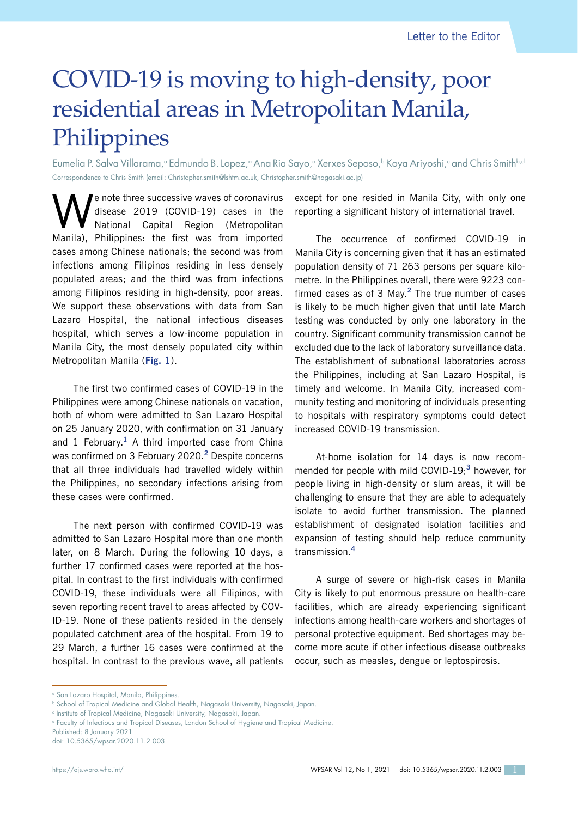## COVID-19 is moving to high-density, poor residential areas in Metropolitan Manila, Philippines

Eumelia P. Salva Villarama,ª Edmundo B. Lopez,ª Ana Ria Sayo,ª Xerxes Seposo,♭ Koya Ariyoshi,º and Chris Smithʰª Correspondence to Chris Smith (email: Christopher.smith@lshtm.ac.uk, Christopher.smith@nagasaki.ac.jp)

e note three successive waves of coronavirus disease 2019 (COVID-19) cases in the National Capital Region (Metropolitan Manila), Philippines: the first was from imported cases among Chinese nationals; the second was from infections among Filipinos residing in less densely populated areas; and the third was from infections among Filipinos residing in high-density, poor areas. We support these observations with data from San Lazaro Hospital, the national infectious diseases hospital, which serves a low-income population in Manila City, the most densely populated city within Metropolitan Manila (**Fig. 1**).

The first two confirmed cases of COVID-19 in the Philippines were among Chinese nationals on vacation, both of whom were admitted to San Lazaro Hospital on 25 January 2020, with confirmation on 31 January and 1 February.**<sup>1</sup>** A third imported case from China was confirmed on 3 February 2020.**<sup>2</sup>** Despite concerns that all three individuals had travelled widely within the Philippines, no secondary infections arising from these cases were confirmed.

The next person with confirmed COVID-19 was admitted to San Lazaro Hospital more than one month later, on 8 March. During the following 10 days, a further 17 confirmed cases were reported at the hospital. In contrast to the first individuals with confirmed COVID-19, these individuals were all Filipinos, with seven reporting recent travel to areas affected by COV-ID-19. None of these patients resided in the densely populated catchment area of the hospital. From 19 to 29 March, a further 16 cases were confirmed at the hospital. In contrast to the previous wave, all patients except for one resided in Manila City, with only one reporting a significant history of international travel.

The occurrence of confirmed COVID-19 in Manila City is concerning given that it has an estimated population density of 71 263 persons per square kilometre. In the Philippines overall, there were 9223 confirmed cases as of 3 May.**<sup>2</sup>** The true number of cases is likely to be much higher given that until late March testing was conducted by only one laboratory in the country. Significant community transmission cannot be excluded due to the lack of laboratory surveillance data. The establishment of subnational laboratories across the Philippines, including at San Lazaro Hospital, is timely and welcome. In Manila City, increased community testing and monitoring of individuals presenting to hospitals with respiratory symptoms could detect increased COVID-19 transmission.

At-home isolation for 14 days is now recommended for people with mild COVID-19;**<sup>3</sup>** however, for people living in high-density or slum areas, it will be challenging to ensure that they are able to adequately isolate to avoid further transmission. The planned establishment of designated isolation facilities and expansion of testing should help reduce community transmission.**<sup>4</sup>**

A surge of severe or high-risk cases in Manila City is likely to put enormous pressure on health-care facilities, which are already experiencing significant infections among health-care workers and shortages of personal protective equipment. Bed shortages may become more acute if other infectious disease outbreaks occur, such as measles, dengue or leptospirosis.

<sup>&</sup>lt;sup>a</sup> San Lazaro Hospital, Manila, Philippines.

**b School of Tropical Medicine and Global Health, Nagasaki University, Nagasaki, Japan.** 

c Institute of Tropical Medicine, Nagasaki University, Nagasaki, Japan.

d Faculty of Infectious and Tropical Diseases, London School of Hygiene and Tropical Medicine.

Published: 8 January 2021

doi: 10.5365/wpsar.2020.11.2.003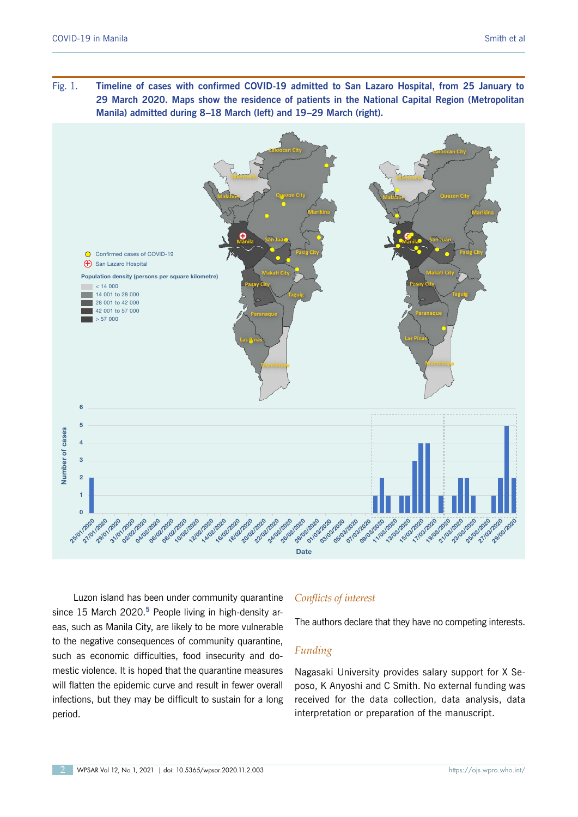Fig. 1. **Timeline of cases with confirmed COVID-19 admitted to San Lazaro Hospital, from 25 January to 29 March 2020. Maps show the residence of patients in the National Capital Region (Metropolitan Manila) admitted during 8–18 March (left) and 19–29 March (right).**



Luzon island has been under community quarantine since 15 March 2020.**<sup>5</sup>** People living in high-density areas, such as Manila City, are likely to be more vulnerable to the negative consequences of community quarantine, such as economic difficulties, food insecurity and domestic violence. It is hoped that the quarantine measures will flatten the epidemic curve and result in fewer overall infections, but they may be difficult to sustain for a long period.

## *Conflicts of interest*

The authors declare that they have no competing interests.

## *Funding*

Nagasaki University provides salary support for X Seposo, K Anyoshi and C Smith. No external funding was received for the data collection, data analysis, data interpretation or preparation of the manuscript.